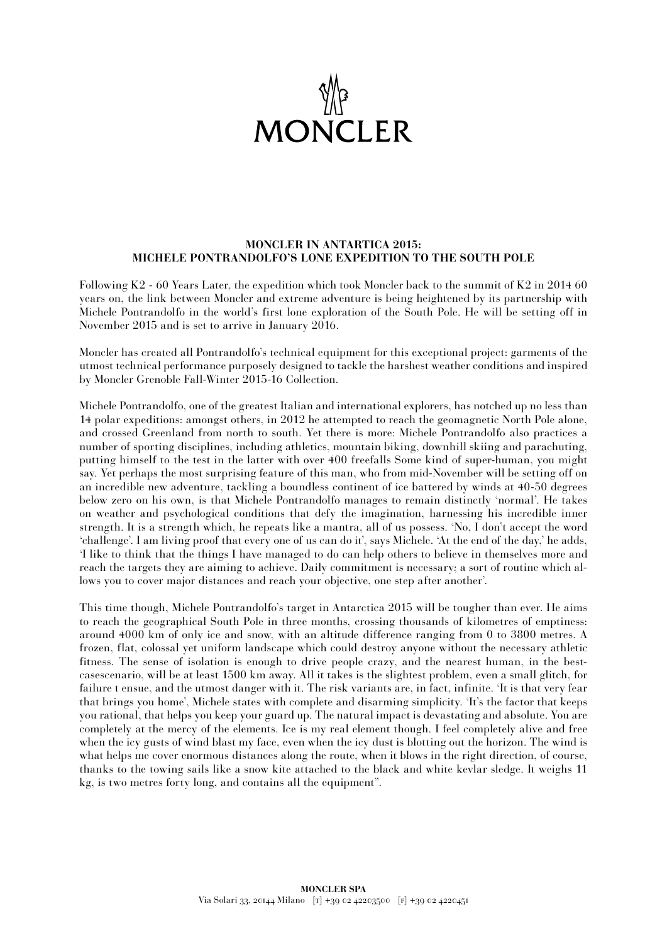

## **MONCLER IN ANTARTICA 2015: MICHELE PONTRANDOLFO'S LONE EXPEDITION TO THE SOUTH POLE**

Following K2 - 60 Years Later, the expedition which took Moncler back to the summit of K2 in 2014 60 years on, the link between Moncler and extreme adventure is being heightened by its partnership with Michele Pontrandolfo in the world's first lone exploration of the South Pole. He will be setting off in November 2015 and is set to arrive in January 2016.

Moncler has created all Pontrandolfo's technical equipment for this exceptional project: garments of the utmost technical performance purposely designed to tackle the harshest weather conditions and inspired by Moncler Grenoble Fall-Winter 2015-16 Collection.

Michele Pontrandolfo, one of the greatest Italian and international explorers, has notched up no less than 14 polar expeditions: amongst others, in 2012 he attempted to reach the geomagnetic North Pole alone, and crossed Greenland from north to south. Yet there is more: Michele Pontrandolfo also practices a number of sporting disciplines, including athletics, mountain biking, downhill skiing and parachuting, putting himself to the test in the latter with over 400 freefalls Some kind of super-human, you might say. Yet perhaps the most surprising feature of this man, who from mid-November will be setting off on an incredible new adventure, tackling a boundless continent of ice battered by winds at 40-50 degrees below zero on his own, is that Michele Pontrandolfo manages to remain distinctly 'normal'. He takes on weather and psychological conditions that defy the imagination, harnessing his incredible inner strength. It is a strength which, he repeats like a mantra, all of us possess. 'No, I don't accept the word 'challenge'. I am living proof that every one of us can do it', says Michele. 'At the end of the day,' he adds, 'I like to think that the things I have managed to do can help others to believe in themselves more and reach the targets they are aiming to achieve. Daily commitment is necessary; a sort of routine which allows you to cover major distances and reach your objective, one step after another'.

This time though, Michele Pontrandolfo's target in Antarctica 2015 will be tougher than ever. He aims to reach the geographical South Pole in three months, crossing thousands of kilometres of emptiness: around 4000 km of only ice and snow, with an altitude difference ranging from 0 to 3800 metres. A frozen, flat, colossal yet uniform landscape which could destroy anyone without the necessary athletic fitness. The sense of isolation is enough to drive people crazy, and the nearest human, in the bestcasescenario, will be at least 1500 km away. All it takes is the slightest problem, even a small glitch, for failure t ensue, and the utmost danger with it. The risk variants are, in fact, infinite. 'It is that very fear that brings you home', Michele states with complete and disarming simplicity. 'It's the factor that keeps you rational, that helps you keep your guard up. The natural impact is devastating and absolute. You are completely at the mercy of the elements. Ice is my real element though. I feel completely alive and free when the icy gusts of wind blast my face, even when the icy dust is blotting out the horizon. The wind is what helps me cover enormous distances along the route, when it blows in the right direction, of course, thanks to the towing sails like a snow kite attached to the black and white kevlar sledge. It weighs 11 kg, is two metres forty long, and contains all the equipment".